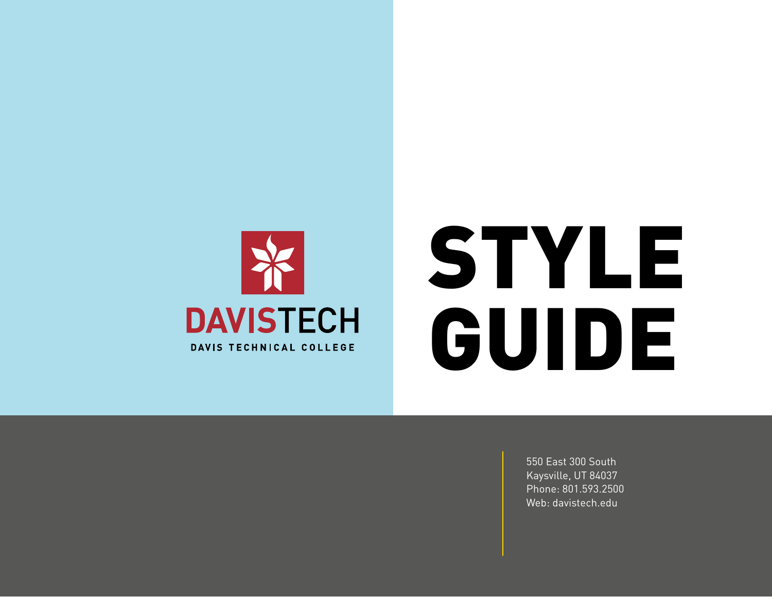

# STYLE GUIDE

550 East 300 South Kaysville, UT 84037 Phone: 801.593.2500 Web: davistech.edu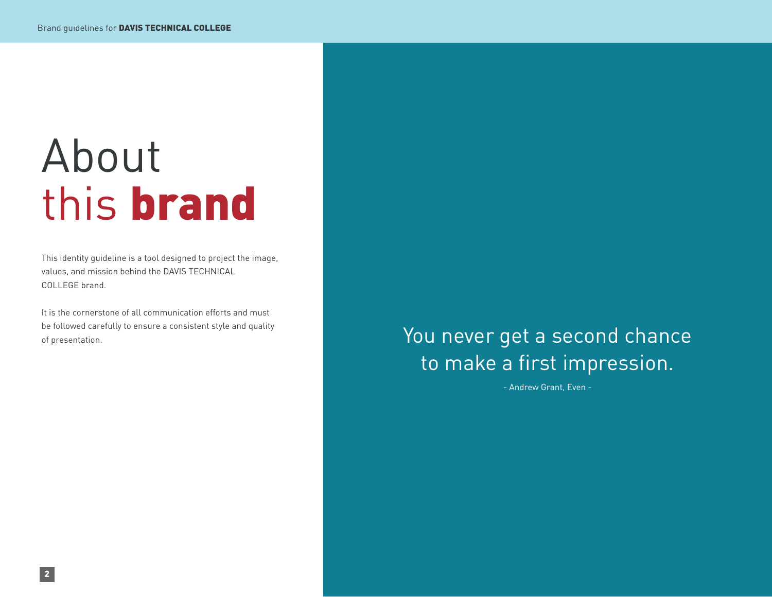# About this brand

This identity guideline is a tool designed to project the image, values, and mission behind the DAVIS TECHNICAL COLLEGE brand.

It is the cornerstone of all communication efforts and must be followed carefully to ensure a consistent style and quality of presentation.

### You never get a second chance to make a first impression.

- Andrew Grant, Even -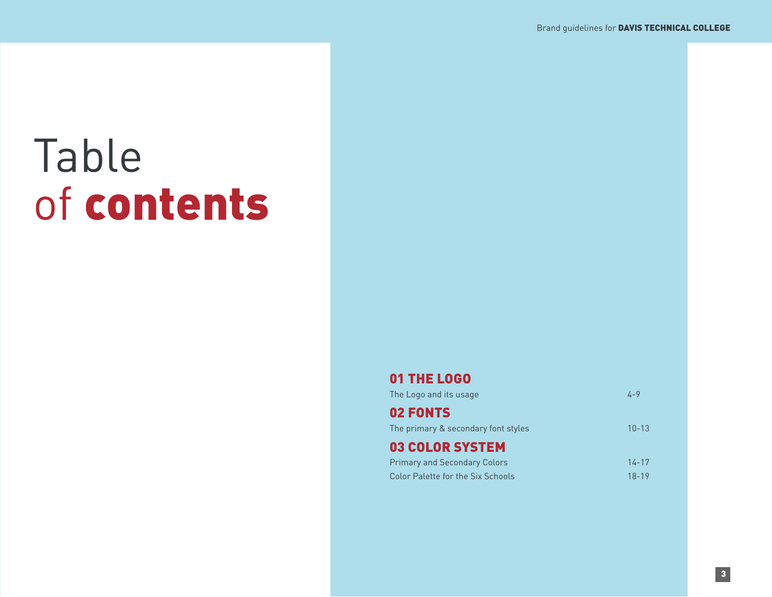# Table of contents

#### 01 THE LOGO

| The Logo and its usage                   | 4-9       |
|------------------------------------------|-----------|
| 02 FONTS                                 |           |
| The primary & secondary font styles      | $10 - 13$ |
| <b>03 COLOR SYSTEM</b>                   |           |
| <b>Primary and Secondary Colors</b>      | $14 - 17$ |
| <b>Color Palette for the Six Schools</b> | $18 - 19$ |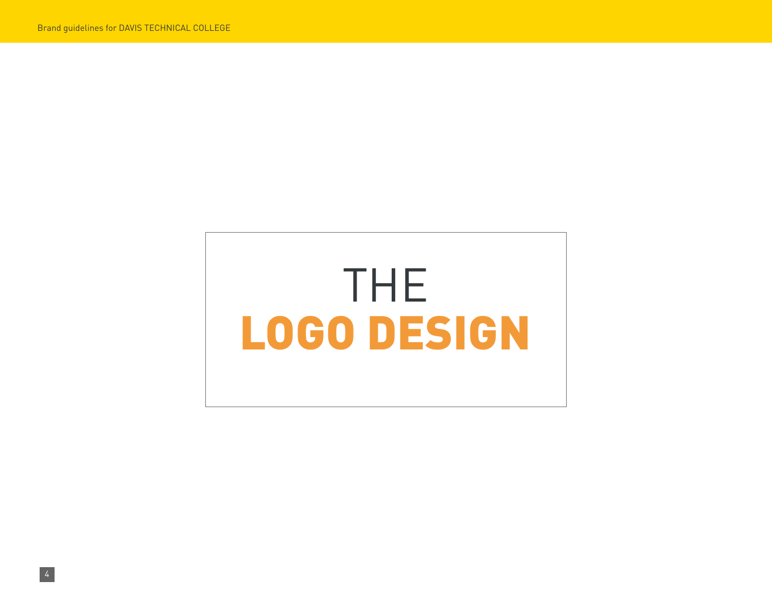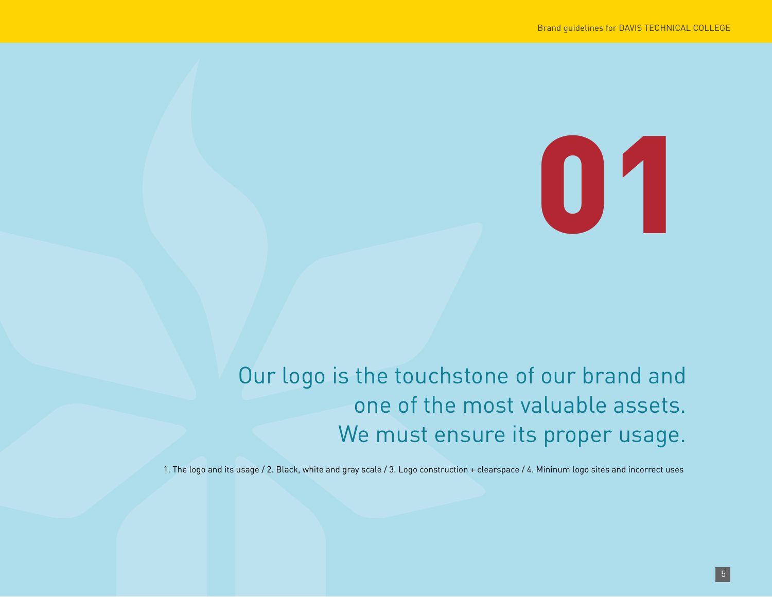# 01

### Our logo is the touchstone of our brand and one of the most valuable assets. We must ensure its proper usage.

1. The logo and its usage / 2. Black, white and gray scale / 3. Logo construction + clearspace / 4. Mininum logo sites and incorrect uses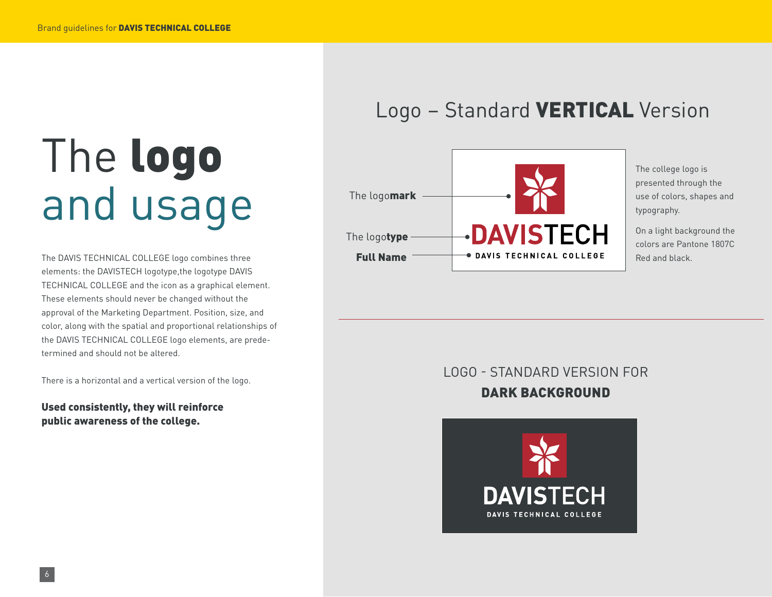# The logo and usage

The DAVIS TECHNICAL COLLEGE logo combines three elements: the DAVISTECH logotype,the logotype DAVIS TECHNICAL COLLEGE and the icon as a graphical element. These elements should never be changed without the approval of the Marketing Department. Position, size, and color, along with the spatial and proportional relationships of the DAVIS TECHNICAL COLLEGE logo elements, are predetermined and should not be altered.

There is a horizontal and a vertical version of the logo.

Used consistently, they will reinforce public awareness of the college.

### Logo – Standard VERTICAL Version



The college logo is presented through the use of colors, shapes and typography.

On a light background the colors are Pantone 1807C Red and black.

### LOGO - STANDARD VERSION FOR DARK BACKGROUND

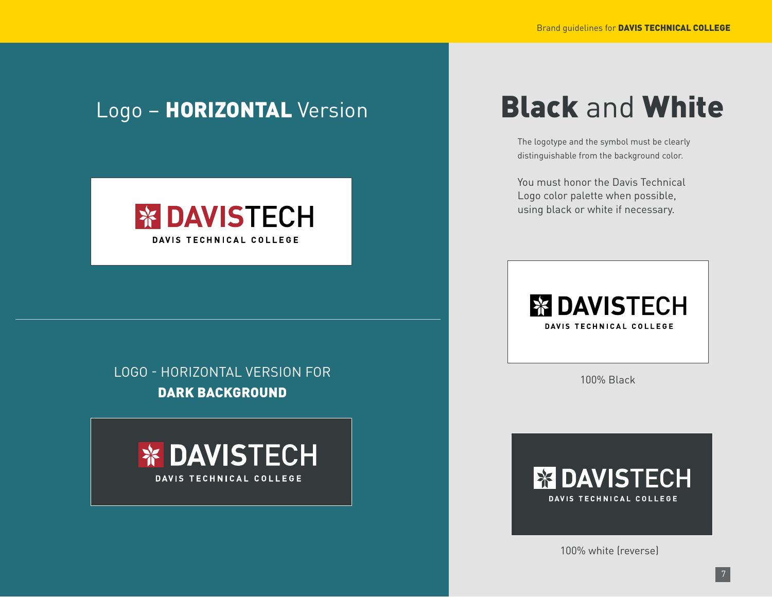### Logo - HORIZONTAL Version



### LOGO - HORIZONTAL VERSION FOR DARK BACKGROUND



### Black and White

The logotype and the symbol must be clearly distinguishable from the background color.

You must honor the Davis Technical Logo color palette when possible, using black or white if necessary.



100% Black

### **X DAVISTECH** DAVIS TECHNICAL COLLEGE

100% white (reverse)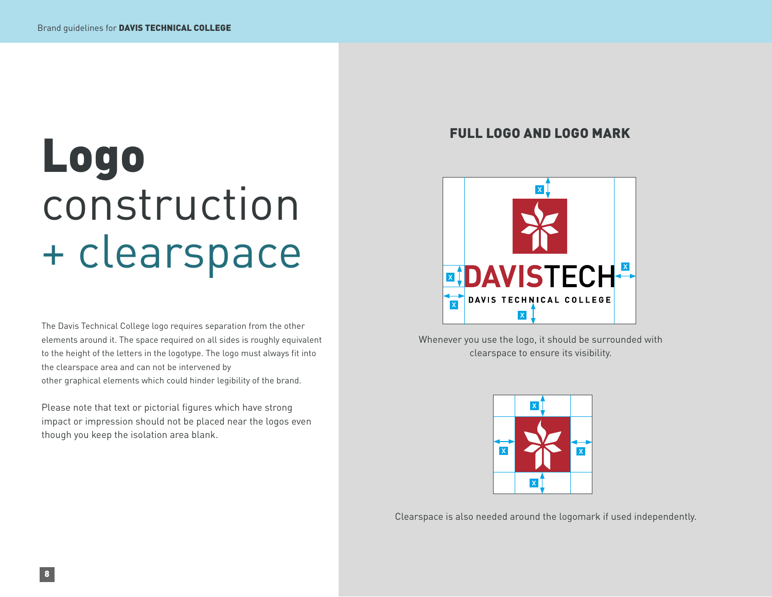# Logo construction + clearspace

The Davis Technical College logo requires separation from the other elements around it. The space required on all sides is roughly equivalent to the height of the letters in the logotype. The logo must always fit into the clearspace area and can not be intervened by other graphical elements which could hinder legibility of the brand.

Please note that text or pictorial figures which have strong impact or impression should not be placed near the logos even though you keep the isolation area blank.

#### FULL LOGO AND LOGO MARK



Whenever you use the logo, it should be surrounded with clearspace to ensure its visibility.



Clearspace is also needed around the logomark if used independently.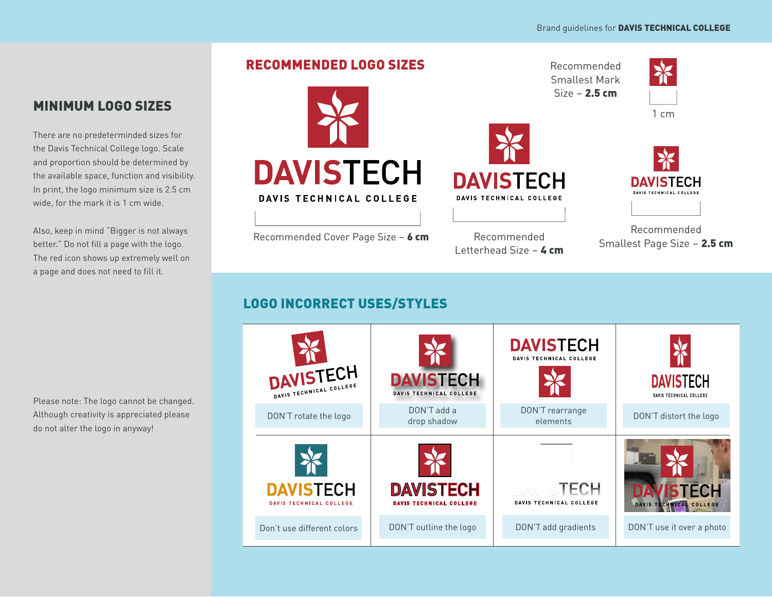#### RECOMMENDED LOGO SIZES



There are no predeterminded sizes for the Davis Technical College logo. Scale and proportion should be determined by the available space, function and visibility. In print, the logo minimum size is 2.5 cm wide, for the mark it is 1 cm wide.

Also, keep in mind "Bigger is not always better." Do not fill a page with the logo. The red icon shows up extremely well on a page and does not need to fill it.

Please note: The logo cannot be changed. Although creativity is appreciated please do not alter the logo in anyway!



DAVIS TECHNICAL COLLEGE

Recommended Cover Page Size - 6 cm

Recommended Smallest Mark  $Size - 2.5 cm$ 



1 cm



Recommended Letterhead Size  $-$  4 cm

Recommended Smallest Page Size - 2.5 cm

**DAVISTECH DAVIS TECHNICAL COLLEG** 

#### LOGO INCORRECT USES/STYLES

| DAVISTECH<br>DAVIS TECHNICAL COLLEGE               | <b>DAVISTECH</b><br>DAVIS TECHNICAL COLLEGE        | <b>DAVISTECH</b><br>DAVIS TECHNICAL COLLEGE | <b>DAVISTECH</b><br>DAVIS TECHNICAL COLLEGE |
|----------------------------------------------------|----------------------------------------------------|---------------------------------------------|---------------------------------------------|
| DON'T rotate the logo                              | DON'T add a<br>drop shadow                         | DON'T rearrange<br>elements                 | DON'T distort the logo                      |
|                                                    |                                                    |                                             |                                             |
| <b>DAVISTECH</b><br><b>DAVIS TECHNICAL COLLEGE</b> | <b>DAVISTECH</b><br><b>DAVIS TECHNICAL COLLEGE</b> | ID/AW STECH<br>DAVIS TECHNICAL COLLEGE      | <b>FCH</b><br>DAVIS TECHNICAL COLLEGE       |
| Don't use different colors                         | DON'T outline the logo                             | DON'T add gradients                         | DON'T use it over a photo                   |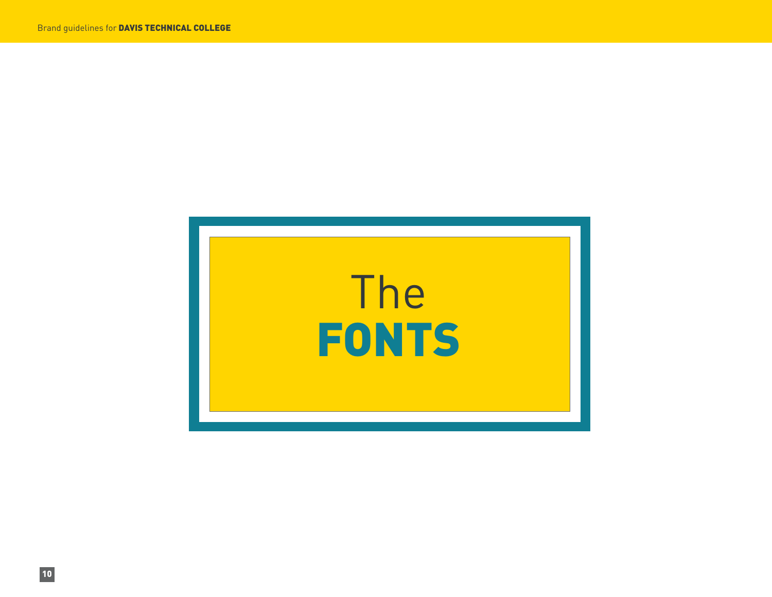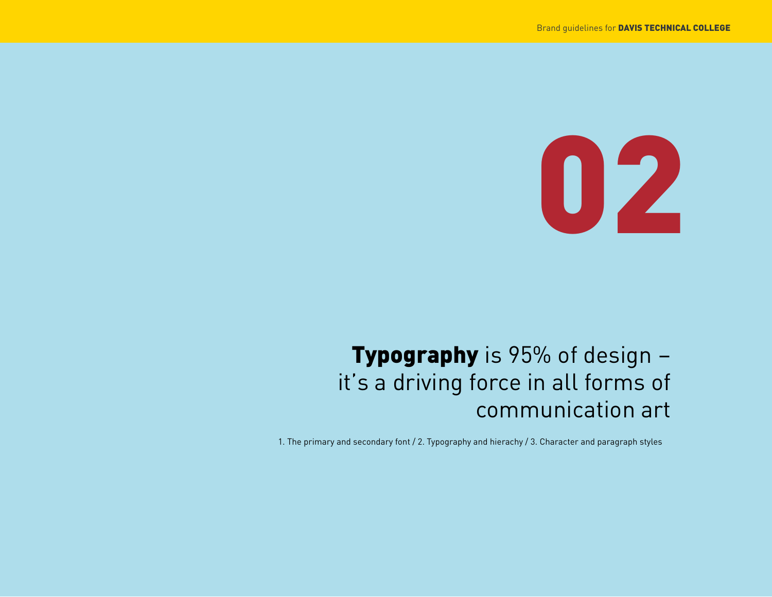

### Typography is 95% of design – it's a driving force in all forms of communication art

1. The primary and secondary font / 2. Typography and hierachy / 3. Character and paragraph styles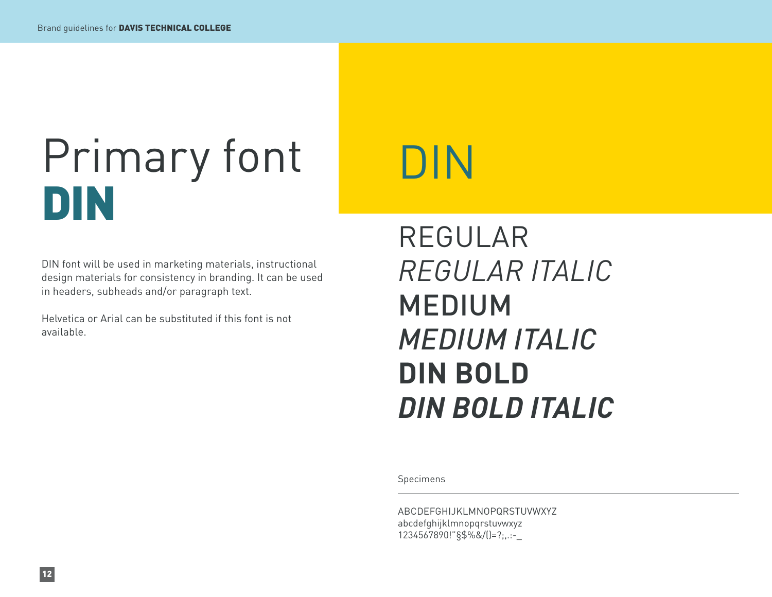# Primary font DIN

DIN font will be used in marketing materials, instructional design materials for consistency in branding. It can be used in headers, subheads and/or paragraph text.

Helvetica or Arial can be substituted if this font is not available.

# DIN

### REGULAR *REGULAR ITALIC* MEDIUM *MEDIUM ITALIC* **DIN BOLD** *DIN BOLD ITALIC*

Specimens

ABCDEFGHIJKLMNOPQRSTUVWXYZ abcdefghijklmnopqrstuvwxyz 1234567890!"§\$%&/()=?;,.:-\_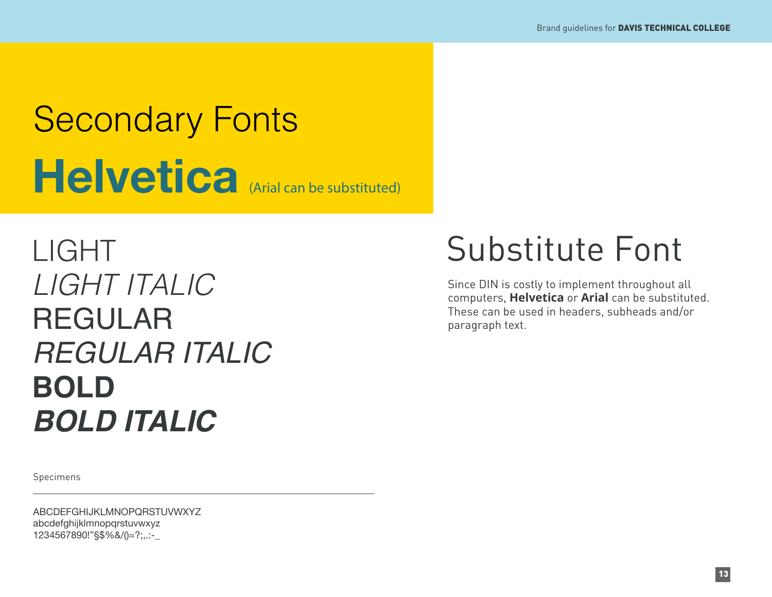# Helvetica (Arial can be substituted) Secondary Fonts

LIGHT *LIGHT ITALIC* REGULAR *REGULAR ITALIC* **BOLD** *BOLD ITALIC*

Specimens

ABCDEFGHIJKLMNOPQRSTUVWXYZ abcdefghijklmnopqrstuvwxyz 1234567890!"§\$%&/()=?;,.:-\_

### Substitute Font

Since DIN is costly to implement throughout all computers, **Helvetica** or **Arial** can be substituted. These can be used in headers, subheads and/or paragraph text.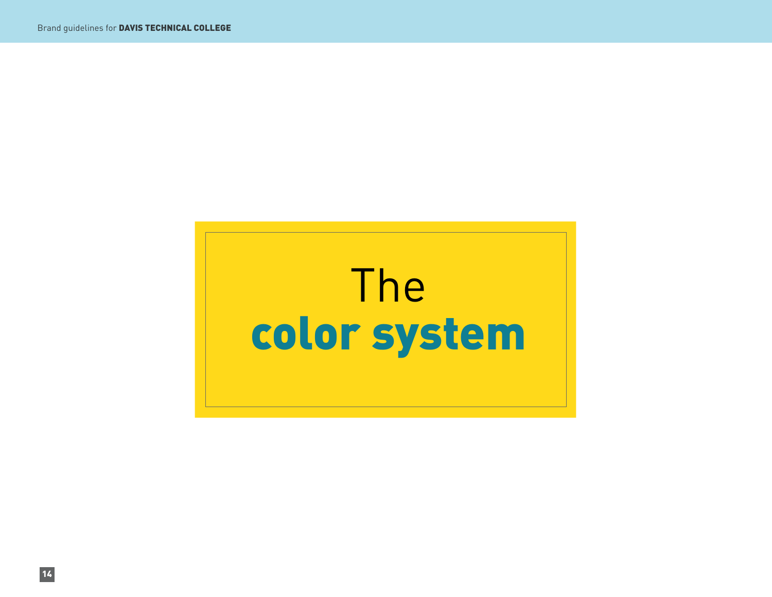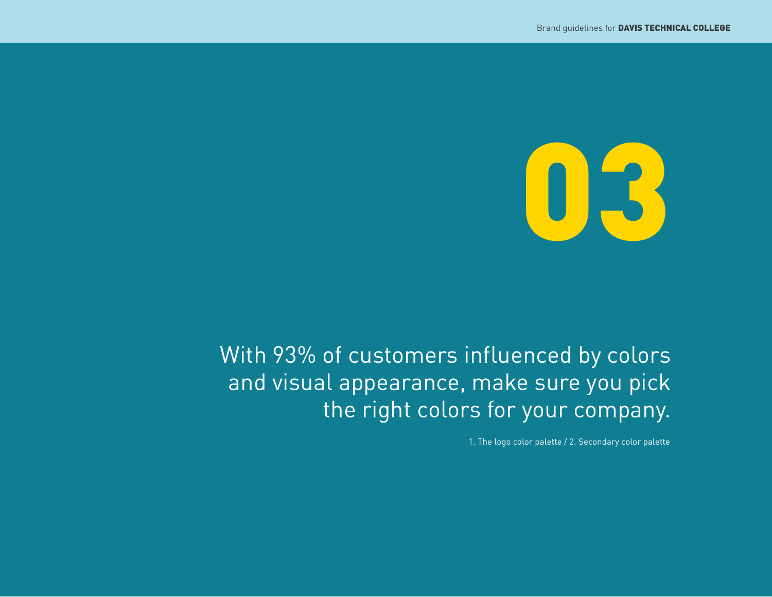

### With 93% of customers influenced by colors and visual appearance, make sure you pick the right colors for your company.

1. The logo color palette / 2. Secondary color palette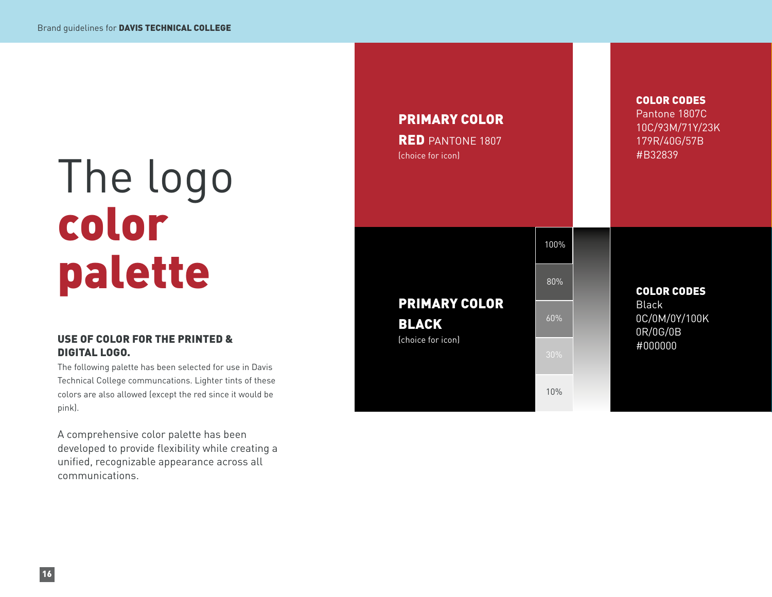# The logo color palette

#### USE OF COLOR FOR THE PRINTED & DIGITAL LOGO.

The following palette has been selected for use in Davis Technical College communcations. Lighter tints of these colors are also allowed (except the red since it would be pink).

A comprehensive color palette has been developed to provide flexibility while creating a unified, recognizable appearance across all communications.

| <b>PRIMARY COLOR</b><br><b>RED</b> PANTONE 1807<br>(choice for icon) |      | Pantone 1807C<br>10C/93M/71Y/23K<br>179R/40G/57B<br>#B32839 |
|----------------------------------------------------------------------|------|-------------------------------------------------------------|
| <b>PRIMARY COLOR</b><br><b>BLACK</b><br>(choice for icon)            | 100% |                                                             |
|                                                                      | 80%  | <b>COLOR CODES</b>                                          |
|                                                                      | 60%  | <b>Black</b><br>0C/0M/0Y/100K<br>0R/0G/0B                   |
|                                                                      | 30%  | #000000                                                     |
|                                                                      | 10%  |                                                             |

COLOR CODES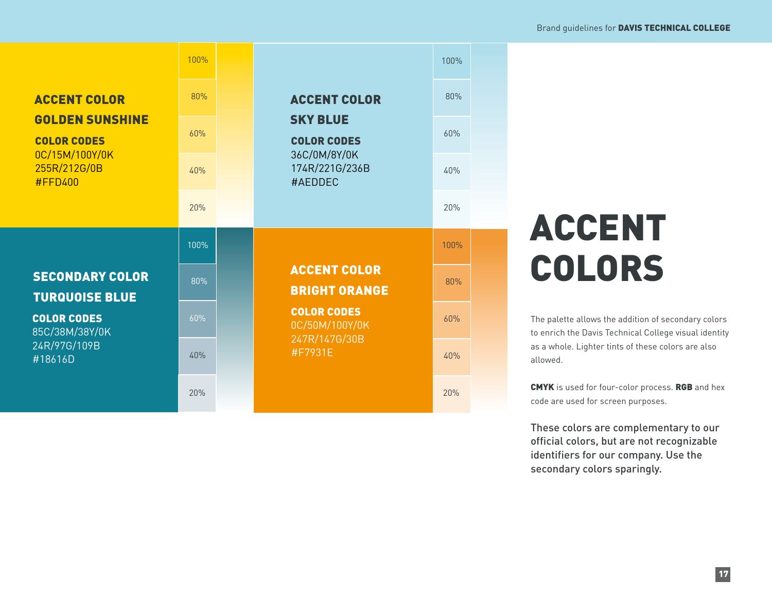|                                                                                                                         | 100% |  |                                                                                                           | 100% |  |
|-------------------------------------------------------------------------------------------------------------------------|------|--|-----------------------------------------------------------------------------------------------------------|------|--|
| <b>ACCENT COLOR</b><br><b>GOLDEN SUNSHINE</b><br><b>COLOR CODES</b><br>0C/15M/100Y/0K<br>255R/212G/0B<br><b>#FFD400</b> | 80%  |  | <b>ACCENT COLOR</b><br><b>SKY BLUE</b><br><b>COLOR CODES</b><br>36C/0M/8Y/0K<br>174R/221G/236B<br>#AEDDEC | 80%  |  |
|                                                                                                                         | 60%  |  |                                                                                                           | 60%  |  |
|                                                                                                                         | 40%  |  |                                                                                                           | 40%  |  |
|                                                                                                                         | 20%  |  |                                                                                                           | 20%  |  |
|                                                                                                                         |      |  |                                                                                                           |      |  |
|                                                                                                                         | 100% |  |                                                                                                           | 100% |  |
| <b>SECONDARY COLOR</b>                                                                                                  | 80%  |  | <b>ACCENT COLOR</b><br><b>BRIGHT ORANGE</b>                                                               | 80%  |  |
| <b>TURQUOISE BLUE</b><br><b>COLOR CODES</b><br>85C/38M/38Y/0K                                                           | 60%  |  | <b>COLOR CODES</b><br>0C/50M/100Y/0K                                                                      | 60%  |  |
| 24R/97G/109B<br>#18616D                                                                                                 | 40%  |  | 247R/147G/30B<br>#F7931E                                                                                  | 40%  |  |

## ACCENT COLORS

The palette allows the addition of secondary colors to enrich the Davis Technical College visual identity as a whole. Lighter tints of these colors are also allowed.

CMYK is used for four-color process. RGB and hex code are used for screen purposes.

These colors are complementary to our official colors, but are not recognizable identifiers for our company. Use the secondary colors sparingly.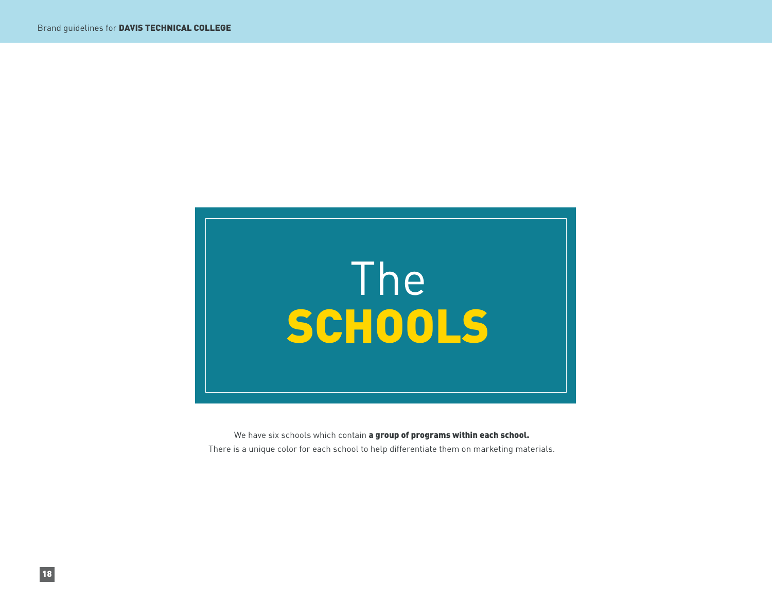

We have six schools which contain a group of programs within each school. There is a unique color for each school to help differentiate them on marketing materials.